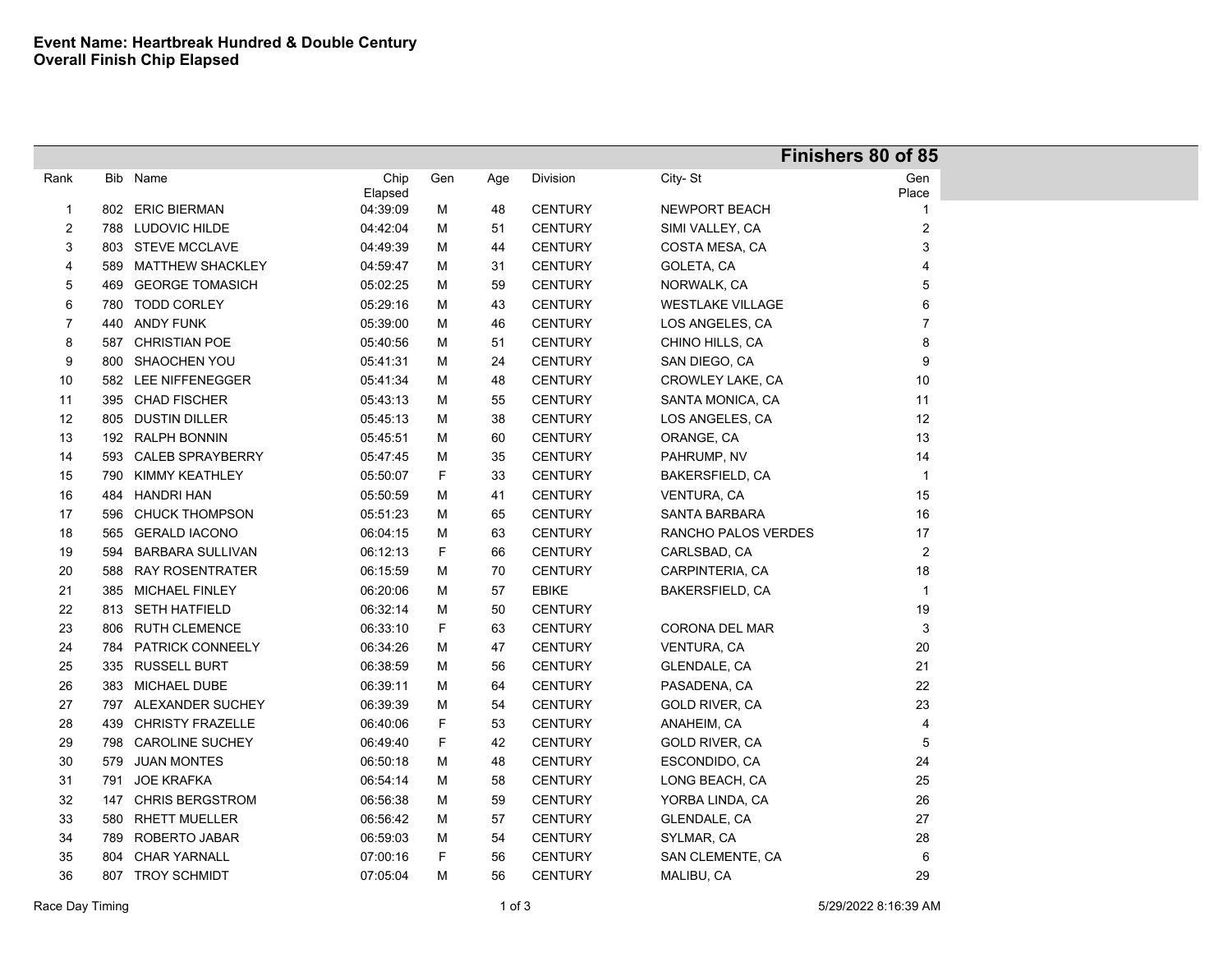|                |     |                      |          |     |     |                | Finishers 80 of 85      |                |  |
|----------------|-----|----------------------|----------|-----|-----|----------------|-------------------------|----------------|--|
| Rank           |     | Bib Name             | Chip     | Gen | Age | Division       | City-St                 | Gen            |  |
|                |     |                      | Elapsed  |     |     |                |                         | Place          |  |
| $\overline{1}$ | 802 | <b>ERIC BIERMAN</b>  | 04:39:09 | М   | 48  | <b>CENTURY</b> | <b>NEWPORT BEACH</b>    | $\mathbf{1}$   |  |
| $\overline{2}$ |     | 788 LUDOVIC HILDE    | 04:42:04 | М   | 51  | <b>CENTURY</b> | SIMI VALLEY, CA         | $\overline{2}$ |  |
| $\mathbf{3}$   |     | 803 STEVE MCCLAVE    | 04:49:39 | М   | 44  | <b>CENTURY</b> | COSTA MESA, CA          | 3              |  |
| 4              |     | 589 MATTHEW SHACKLEY | 04:59:47 | М   | 31  | <b>CENTURY</b> | GOLETA, CA              | $\overline{4}$ |  |
| 5              |     | 469 GEORGE TOMASICH  | 05:02:25 | М   | 59  | <b>CENTURY</b> | NORWALK, CA             | 5              |  |
| 6              |     | 780 TODD CORLEY      | 05:29:16 | М   | 43  | <b>CENTURY</b> | <b>WESTLAKE VILLAGE</b> | 6              |  |
| $\overline{7}$ |     | 440 ANDY FUNK        | 05:39:00 | М   | 46  | <b>CENTURY</b> | LOS ANGELES, CA         | $\overline{7}$ |  |
| 8              |     | 587 CHRISTIAN POE    | 05:40:56 | М   | 51  | <b>CENTURY</b> | CHINO HILLS, CA         | 8              |  |
| 9              |     | 800 SHAOCHEN YOU     | 05:41:31 | м   | 24  | <b>CENTURY</b> | SAN DIEGO, CA           | 9              |  |
| 10             |     | 582 LEE NIFFENEGGER  | 05:41:34 | М   | 48  | <b>CENTURY</b> | CROWLEY LAKE, CA        | 10             |  |
| 11             |     | 395 CHAD FISCHER     | 05:43:13 | М   | 55  | <b>CENTURY</b> | SANTA MONICA, CA        | 11             |  |
| 12             |     | 805 DUSTIN DILLER    | 05:45:13 | М   | 38  | <b>CENTURY</b> | LOS ANGELES, CA         | 12             |  |
| 13             |     | 192 RALPH BONNIN     | 05:45:51 | М   | 60  | <b>CENTURY</b> | ORANGE, CA              | 13             |  |
| 14             |     | 593 CALEB SPRAYBERRY | 05:47:45 | м   | 35  | <b>CENTURY</b> | PAHRUMP, NV             | 14             |  |
| 15             |     | 790 KIMMY KEATHLEY   | 05:50:07 | F   | 33  | <b>CENTURY</b> | <b>BAKERSFIELD, CA</b>  | $\mathbf{1}$   |  |
| 16             |     | 484 HANDRI HAN       | 05:50:59 | М   | 41  | <b>CENTURY</b> | <b>VENTURA, CA</b>      | 15             |  |
| 17             |     | 596 CHUCK THOMPSON   | 05:51:23 | М   | 65  | <b>CENTURY</b> | <b>SANTA BARBARA</b>    | 16             |  |
| 18             |     | 565 GERALD IACONO    | 06:04:15 | М   | 63  | <b>CENTURY</b> | RANCHO PALOS VERDES     | 17             |  |
| 19             |     | 594 BARBARA SULLIVAN | 06:12:13 | F   | 66  | <b>CENTURY</b> | CARLSBAD, CA            | $\sqrt{2}$     |  |
| 20             |     | 588 RAY ROSENTRATER  | 06:15:59 | М   | 70  | <b>CENTURY</b> | CARPINTERIA, CA         | 18             |  |
| 21             |     | 385 MICHAEL FINLEY   | 06:20:06 | М   | 57  | <b>EBIKE</b>   | BAKERSFIELD, CA         | $\overline{1}$ |  |
| 22             |     | 813 SETH HATFIELD    | 06:32:14 | М   | 50  | <b>CENTURY</b> |                         | 19             |  |
| 23             |     | 806 RUTH CLEMENCE    | 06:33:10 | F   | 63  | <b>CENTURY</b> | CORONA DEL MAR          | $\mathbf{3}$   |  |
| 24             |     | 784 PATRICK CONNEELY | 06:34:26 | М   | 47  | <b>CENTURY</b> | <b>VENTURA, CA</b>      | 20             |  |
| 25             |     | 335 RUSSELL BURT     | 06:38:59 | М   | 56  | <b>CENTURY</b> | GLENDALE, CA            | 21             |  |
| $26\,$         |     | 383 MICHAEL DUBE     | 06:39:11 | M   | 64  | <b>CENTURY</b> | PASADENA, CA            | 22             |  |
| $27\,$         |     | 797 ALEXANDER SUCHEY | 06:39:39 | М   | 54  | <b>CENTURY</b> | GOLD RIVER, CA          | 23             |  |
| 28             |     | 439 CHRISTY FRAZELLE | 06:40:06 | F   | 53  | <b>CENTURY</b> | ANAHEIM, CA             | $\overline{4}$ |  |
| 29             |     | 798 CAROLINE SUCHEY  | 06:49:40 | F   | 42  | <b>CENTURY</b> | <b>GOLD RIVER, CA</b>   | $\sqrt{5}$     |  |
| $30\,$         |     | 579 JUAN MONTES      | 06:50:18 | M   | 48  | <b>CENTURY</b> | ESCONDIDO, CA           | 24             |  |
| 31             | 791 | <b>JOE KRAFKA</b>    | 06:54:14 | М   | 58  | <b>CENTURY</b> | LONG BEACH, CA          | 25             |  |
| 32             |     | 147 CHRIS BERGSTROM  | 06:56:38 | М   | 59  | <b>CENTURY</b> | YORBA LINDA, CA         | 26             |  |
| 33             |     | 580 RHETT MUELLER    | 06:56:42 | М   | 57  | <b>CENTURY</b> | GLENDALE, CA            | 27             |  |
| 34             |     | 789 ROBERTO JABAR    | 06:59:03 | М   | 54  | <b>CENTURY</b> | SYLMAR, CA              | 28             |  |
| 35             | 804 | <b>CHAR YARNALL</b>  | 07:00:16 | F   | 56  | <b>CENTURY</b> | SAN CLEMENTE, CA        | 6              |  |
| 36             |     | 807 TROY SCHMIDT     | 07:05:04 | M   | 56  | <b>CENTURY</b> | MALIBU, CA              | 29             |  |
|                |     |                      |          |     |     |                |                         |                |  |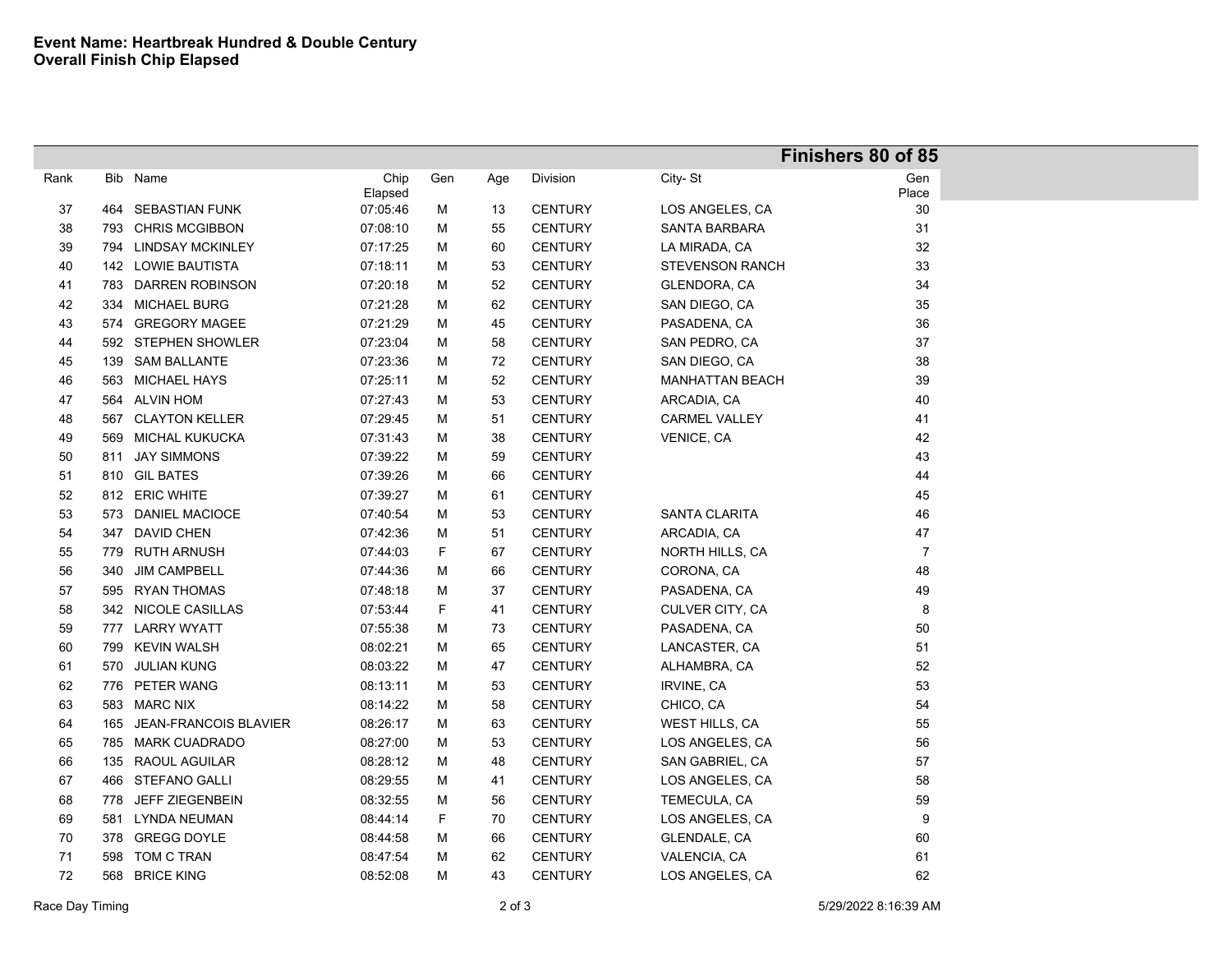|      |     |                           |          |     |     | Finishers 80 of 85 |                        |                |  |
|------|-----|---------------------------|----------|-----|-----|--------------------|------------------------|----------------|--|
| Rank | Bib | Name                      | Chip     | Gen | Age | Division           | City-St                | Gen            |  |
|      |     |                           | Elapsed  |     |     |                    |                        | Place          |  |
| 37   | 464 | <b>SEBASTIAN FUNK</b>     | 07:05:46 | М   | 13  | <b>CENTURY</b>     | LOS ANGELES, CA        | 30             |  |
| 38   | 793 | <b>CHRIS MCGIBBON</b>     | 07:08:10 | М   | 55  | <b>CENTURY</b>     | <b>SANTA BARBARA</b>   | 31             |  |
| 39   |     | 794 LINDSAY MCKINLEY      | 07:17:25 | М   | 60  | <b>CENTURY</b>     | LA MIRADA, CA          | 32             |  |
| 40   |     | 142 LOWIE BAUTISTA        | 07:18:11 | М   | 53  | <b>CENTURY</b>     | <b>STEVENSON RANCH</b> | 33             |  |
| 41   |     | 783 DARREN ROBINSON       | 07:20:18 | М   | 52  | <b>CENTURY</b>     | GLENDORA, CA           | 34             |  |
| 42   |     | 334 MICHAEL BURG          | 07:21:28 | М   | 62  | <b>CENTURY</b>     | SAN DIEGO, CA          | 35             |  |
| 43   |     | 574 GREGORY MAGEE         | 07:21:29 | М   | 45  | <b>CENTURY</b>     | PASADENA, CA           | 36             |  |
| 44   |     | 592 STEPHEN SHOWLER       | 07:23:04 | М   | 58  | <b>CENTURY</b>     | SAN PEDRO, CA          | 37             |  |
| 45   |     | 139 SAM BALLANTE          | 07:23:36 | М   | 72  | <b>CENTURY</b>     | SAN DIEGO, CA          | $38\,$         |  |
| 46   |     | 563 MICHAEL HAYS          | 07:25:11 | М   | 52  | <b>CENTURY</b>     | <b>MANHATTAN BEACH</b> | 39             |  |
| 47   |     | 564 ALVIN HOM             | 07:27:43 | М   | 53  | <b>CENTURY</b>     | ARCADIA, CA            | 40             |  |
| 48   | 567 | <b>CLAYTON KELLER</b>     | 07:29:45 | М   | 51  | <b>CENTURY</b>     | <b>CARMEL VALLEY</b>   | 41             |  |
| 49   |     | 569 MICHAL KUKUCKA        | 07:31:43 | М   | 38  | <b>CENTURY</b>     | VENICE, CA             | 42             |  |
| 50   |     | 811 JAY SIMMONS           | 07:39:22 | м   | 59  | <b>CENTURY</b>     |                        | 43             |  |
| $51$ |     | 810 GIL BATES             | 07:39:26 | м   | 66  | <b>CENTURY</b>     |                        | 44             |  |
| 52   |     | 812 ERIC WHITE            | 07:39:27 | м   | 61  | <b>CENTURY</b>     |                        | 45             |  |
| 53   |     | 573 DANIEL MACIOCE        | 07:40:54 | М   | 53  | <b>CENTURY</b>     | SANTA CLARITA          | 46             |  |
| 54   |     | 347 DAVID CHEN            | 07:42:36 | М   | 51  | <b>CENTURY</b>     | ARCADIA, CA            | 47             |  |
| 55   |     | 779 RUTH ARNUSH           | 07:44:03 | F   | 67  | <b>CENTURY</b>     | NORTH HILLS, CA        | $\overline{7}$ |  |
| 56   |     | 340 JIM CAMPBELL          | 07:44:36 | М   | 66  | <b>CENTURY</b>     | CORONA, CA             | 48             |  |
| 57   |     | 595 RYAN THOMAS           | 07:48:18 | М   | 37  | <b>CENTURY</b>     | PASADENA, CA           | 49             |  |
| 58   |     | 342 NICOLE CASILLAS       | 07:53:44 | F   | 41  | <b>CENTURY</b>     | CULVER CITY, CA        | 8              |  |
| 59   |     | 777 LARRY WYATT           | 07:55:38 | М   | 73  | <b>CENTURY</b>     | PASADENA, CA           | 50             |  |
| 60   |     | 799 KEVIN WALSH           | 08:02:21 | м   | 65  | <b>CENTURY</b>     | LANCASTER, CA          | 51             |  |
| 61   |     | 570 JULIAN KUNG           | 08:03:22 | М   | 47  | <b>CENTURY</b>     | ALHAMBRA, CA           | 52             |  |
| 62   |     | 776 PETER WANG            | 08:13:11 | M   | 53  | <b>CENTURY</b>     | IRVINE, CA             | 53             |  |
| 63   |     | 583 MARC NIX              | 08:14:22 | М   | 58  | <b>CENTURY</b>     | CHICO, CA              | 54             |  |
| 64   |     | 165 JEAN-FRANCOIS BLAVIER | 08:26:17 | М   | 63  | <b>CENTURY</b>     | WEST HILLS, CA         | 55             |  |
| 65   |     | 785 MARK CUADRADO         | 08:27:00 | М   | 53  | <b>CENTURY</b>     | LOS ANGELES, CA        | 56             |  |
| 66   |     | 135 RAOUL AGUILAR         | 08:28:12 | М   | 48  | <b>CENTURY</b>     | SAN GABRIEL, CA        | 57             |  |
| 67   |     | 466 STEFANO GALLI         | 08:29:55 | м   | 41  | <b>CENTURY</b>     | LOS ANGELES, CA        | 58             |  |
| 68   |     | 778 JEFF ZIEGENBEIN       | 08:32:55 | м   | 56  | <b>CENTURY</b>     | TEMECULA, CA           | 59             |  |
| 69   |     | 581 LYNDA NEUMAN          | 08:44:14 | F   | 70  | <b>CENTURY</b>     | LOS ANGELES, CA        | 9              |  |
| 70   |     | 378 GREGG DOYLE           | 08:44:58 | М   | 66  | <b>CENTURY</b>     | <b>GLENDALE, CA</b>    | 60             |  |
| 71   |     | 598 TOM C TRAN            | 08:47:54 | М   | 62  | <b>CENTURY</b>     | VALENCIA, CA           | 61             |  |
| 72   |     | 568 BRICE KING            | 08:52:08 | м   | 43  | <b>CENTURY</b>     | LOS ANGELES, CA        | 62             |  |
|      |     |                           |          |     |     |                    |                        |                |  |